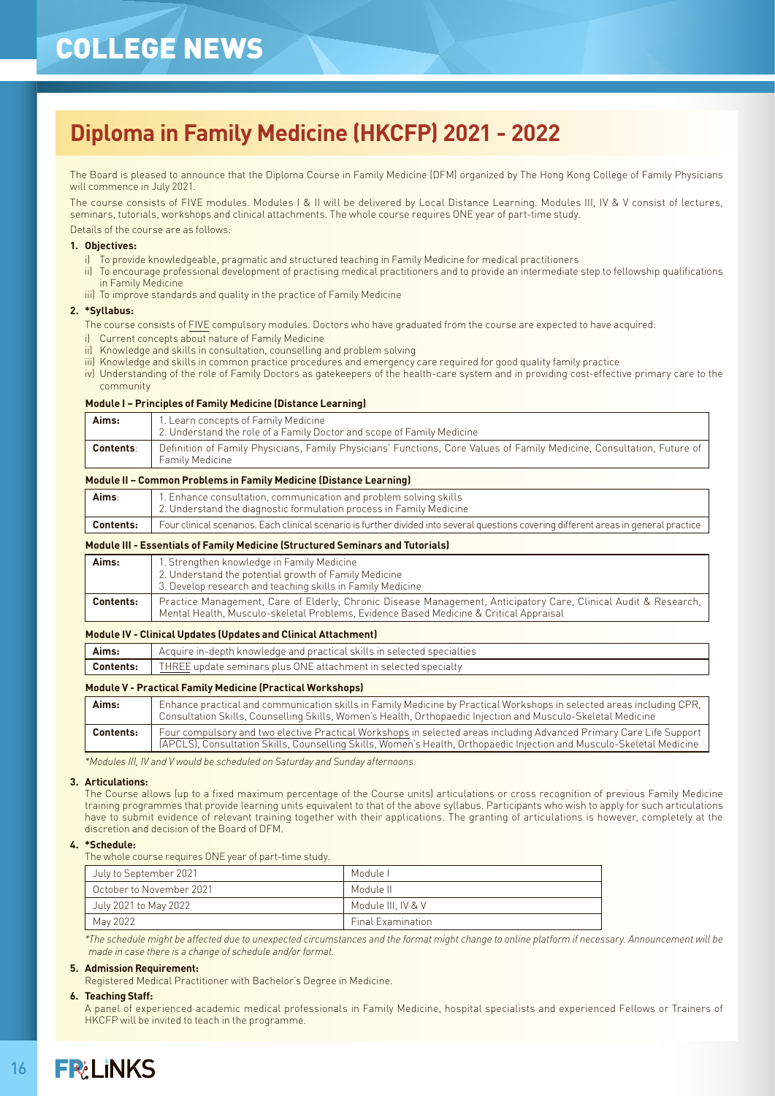# COLLEGE NEWS

# **Diploma in Family Medicine (HKCFP) 2021 - 2022**

The Board is pleased to announce that the Diploma Course in Family Medicine (DFM) organized by The Hong Kong College of Family Physicians will commence in July 2021.

The course consists of FIVE modules. Modules I & II will be delivered by Local Distance Learning. Modules III, IV & V consist of lectures, seminars, tutorials, workshops and clinical attachments. The whole course requires ONE year of part-time study.

Details of the course are as follows:

### **1. Objectives:**

- i) To provide knowledgeable, pragmatic and structured teaching in Family Medicine for medical practitioners
- ii) To encourage professional development of practising medical practitioners and to provide an intermediate step to fellowship qualifications in Family Medicine
- iii) To improve standards and quality in the practice of Family Medicine

### **2. \*Syllabus:**

- The course consists of FIVE compulsory modules. Doctors who have graduated from the course are expected to have acquired:
- i) Current concepts about nature of Family Medicine
- ii) Knowledge and skills in consultation, counselling and problem solving
- iii) Knowledge and skills in common practice procedures and emergency care required for good quality family practice
- iv) Understanding of the role of Family Doctors as gatekeepers of the health-care system and in providing cost-effective primary care to the community

### **Module I – Principles of Family Medicine (Distance Learning)**

| Aims:            | 1. Learn concepts of Family Medicine<br>2. Understand the role of a Family Doctor and scope of Family Medicine                            |
|------------------|-------------------------------------------------------------------------------------------------------------------------------------------|
| <b>Contents:</b> | Definition of Family Physicians, Family Physicians' Functions, Core Values of Family Medicine, Consultation, Future of<br>Family Medicine |

### **Module II – Common Problems in Family Medicine (Distance Learning)**

| Aims∶            | 1. Enhance consultation, communication and problem solving skills<br>L 2. Understand the diagnostic formulation process in Family Medicine . |
|------------------|----------------------------------------------------------------------------------------------------------------------------------------------|
| <b>Contents:</b> | Four clinical scenarios. Each clinical scenario is further divided into several questions covering different areas in general practice       |

### **Module III - Essentials of Family Medicine (Structured Seminars and Tutorials)**

| Aims:            | 1. Strengthen knowledge in Family Medicine<br>2. Understand the potential growth of Family Medicine<br>3. Develop research and teaching skills in Family Medicine                                         |
|------------------|-----------------------------------------------------------------------------------------------------------------------------------------------------------------------------------------------------------|
| <b>Contents:</b> | Practice Management, Care of Elderly, Chronic Disease Management, Anticipatory Care, Clinical Audit & Research,<br>Mental Health, Musculo-skeletal Problems, Evidence Based Medicine & Critical Appraisal |

### **Module IV - Clinical Updates (Updates and Clinical Attachment)**

| Aims:            | Acquire in-depth knowledge and practical skills in selected specialties |
|------------------|-------------------------------------------------------------------------|
| <b>Contents:</b> | THREE update seminars plus ONE attachment in selected specialty         |
|                  |                                                                         |

### **Module V - Practical Family Medicine (Practical Workshops)**

| Aims:            | Enhance practical and communication skills in Family Medicine by Practical Workshops in selected areas including CPR,<br>Consultation Skills, Counselling Skills, Women's Health, Orthopaedic Injection and Musculo-Skeletal Medicine        |
|------------------|----------------------------------------------------------------------------------------------------------------------------------------------------------------------------------------------------------------------------------------------|
| <b>Contents:</b> | Four compulsory and two elective Practical Workshops in selected areas including Advanced Primary Care Life Support<br>(APCLS), Consultation Skills, Counselling Skills, Women's Health, Orthopaedic Injection and Musculo-Skeletal Medicine |

*\*Modules III, IV and V would be scheduled on Saturday and Sunday afternoons.*

#### **3. Articulations:**

The Course allows (up to a fixed maximum percentage of the Course units) articulations or cross recognition of previous Family Medicine training programmes that provide learning units equivalent to that of the above syllabus. Participants who wish to apply for such articulations have to submit evidence of relevant training together with their applications. The granting of articulations is however, completely at the discretion and decision of the Board of DFM.

### **4. \*Schedule:**

The whole course requires ONE year of part-time study.

| July to September 2021   | Module L                 |
|--------------------------|--------------------------|
| October to November 2021 | Module II                |
| July 2021 to May 2022    | Module III. IV & V       |
| May 2022                 | <b>Final Examination</b> |

*\*The schedule might be affected due to unexpected circumstances and the format might change to online platform if necessary. Announcement will be made in case there is a change of schedule and/or format.*

### **5. Admission Requirement:**

Registered Medical Practitioner with Bachelor's Degree in Medicine.

#### **6. Teaching Staff:**

A panel of experienced academic medical professionals in Family Medicine, hospital specialists and experienced Fellows or Trainers of HKCFP will be invited to teach in the programme.